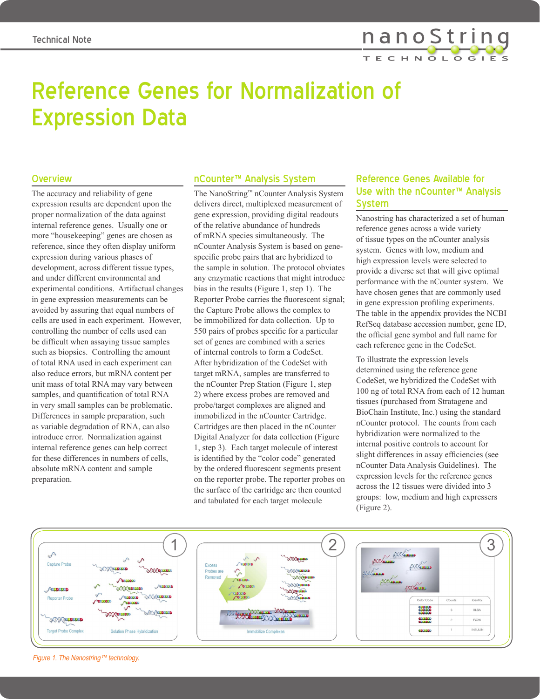

# Reference Genes for Normalization of Expression Data

#### **Overview**

The accuracy and reliability of gene expression results are dependent upon the proper normalization of the data against internal reference genes. Usually one or more "housekeeping" genes are chosen as reference, since they often display uniform expression during various phases of development, across different tissue types, and under different environmental and experimental conditions. Artifactual changes in gene expression measurements can be avoided by assuring that equal numbers of cells are used in each experiment. However, controlling the number of cells used can be difficult when assaying tissue samples such as biopsies. Controlling the amount of total RNA used in each experiment can also reduce errors, but mRNA content per unit mass of total RNA may vary between samples, and quantification of total RNA in very small samples can be problematic. Differences in sample preparation, such as variable degradation of RNA, can also introduce error. Normalization against internal reference genes can help correct for these differences in numbers of cells, absolute mRNA content and sample preparation.

#### nCounter™ Analysis System

The NanoString™ nCounter Analysis System delivers direct, multiplexed measurement of gene expression, providing digital readouts of the relative abundance of hundreds of mRNA species simultaneously. The nCounter Analysis System is based on genespecific probe pairs that are hybridized to the sample in solution. The protocol obviates any enzymatic reactions that might introduce bias in the results (Figure 1, step 1). The Reporter Probe carries the fluorescent signal; the Capture Probe allows the complex to be immobilized for data collection. Up to 550 pairs of probes specific for a particular set of genes are combined with a series of internal controls to form a CodeSet. After hybridization of the CodeSet with target mRNA, samples are transferred to the nCounter Prep Station (Figure 1, step 2) where excess probes are removed and probe/target complexes are aligned and immobilized in the nCounter Cartridge. Cartridges are then placed in the nCounter Digital Analyzer for data collection (Figure 1, step 3). Each target molecule of interest is identified by the "color code" generated by the ordered fluorescent segments present on the reporter probe. The reporter probes on the surface of the cartridge are then counted and tabulated for each target molecule

## Reference Genes Available for Use with the nCounter™ Analysis System

Nanostring has characterized a set of human reference genes across a wide variety of tissue types on the nCounter analysis system. Genes with low, medium and high expression levels were selected to provide a diverse set that will give optimal performance with the nCounter system. We have chosen genes that are commonly used in gene expression profiling experiments. The table in the appendix provides the NCBI RefSeq database accession number, gene ID, the official gene symbol and full name for each reference gene in the CodeSet.

To illustrate the expression levels determined using the reference gene CodeSet, we hybridized the CodeSet with 100 ng of total RNA from each of 12 human tissues (purchased from Stratagene and BioChain Institute, Inc.) using the standard nCounter protocol. The counts from each hybridization were normalized to the internal positive controls to account for slight differences in assay efficiencies (see nCounter Data Analysis Guidelines). The expression levels for the reference genes across the 12 tissues were divided into 3 groups: low, medium and high expressers (Figure 2).



Figure 1. The Nanostring™ technology.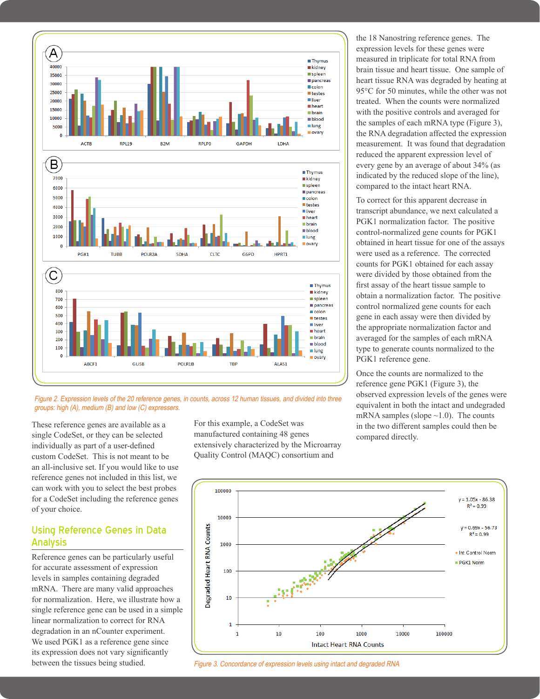

Figure 2. Expression levels of the 20 reference genes, in counts, across 12 human tissues, and divided into three groups: high (A), medium (B) and low (C) expressers.

These reference genes are available as a single CodeSet, or they can be selected individually as part of a user-defined custom CodeSet. This is not meant to be an all-inclusive set. If you would like to use reference genes not included in this list, we can work with you to select the best probes for a CodeSet including the reference genes of your choice.

## Using Reference Genes in Data Analysis

Reference genes can be particularly useful for accurate assessment of expression levels in samples containing degraded mRNA. There are many valid approaches for normalization. Here, we illustrate how a single reference gene can be used in a simple linear normalization to correct for RNA degradation in an nCounter experiment. We used PGK1 as a reference gene since its expression does not vary significantly between the tissues being studied.

For this example, a CodeSet was manufactured containing 48 genes extensively characterized by the Microarray Quality Control (MAQC) consortium and

the 18 Nanostring reference genes. The expression levels for these genes were measured in triplicate for total RNA from brain tissue and heart tissue. One sample of heart tissue RNA was degraded by heating at 95°C for 50 minutes, while the other was not treated. When the counts were normalized with the positive controls and averaged for the samples of each mRNA type (Figure 3), the RNA degradation affected the expression measurement. It was found that degradation reduced the apparent expression level of every gene by an average of about 34% (as indicated by the reduced slope of the line), compared to the intact heart RNA.

To correct for this apparent decrease in transcript abundance, we next calculated a PGK1 normalization factor. The positive control-normalized gene counts for PGK1 obtained in heart tissue for one of the assays were used as a reference. The corrected counts for PGK1 obtained for each assay were divided by those obtained from the first assay of the heart tissue sample to obtain a normalization factor. The positive control normalized gene counts for each gene in each assay were then divided by the appropriate normalization factor and averaged for the samples of each mRNA type to generate counts normalized to the PGK1 reference gene.

Once the counts are normalized to the reference gene PGK1 (Figure 3), the observed expression levels of the genes were equivalent in both the intact and undegraded mRNA samples (slope  $\sim$ 1.0). The counts in the two different samples could then be compared directly.



Figure 3. Concordance of expression levels using intact and degraded RNA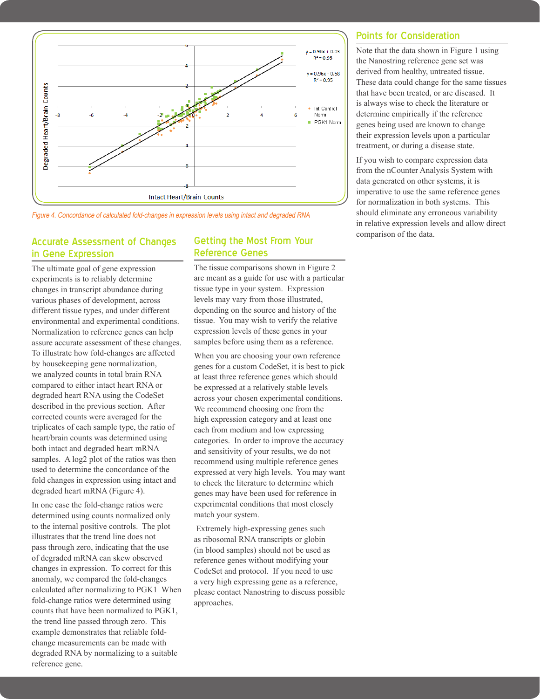

Figure 4. Concordance of calculated fold-changes in expression levels using intact and degraded RNA

#### Accurate Assessment of Changes in Gene Expression

The ultimate goal of gene expression experiments is to reliably determine changes in transcript abundance during various phases of development, across different tissue types, and under different environmental and experimental conditions. Normalization to reference genes can help assure accurate assessment of these changes. To illustrate how fold-changes are affected by housekeeping gene normalization, we analyzed counts in total brain RNA compared to either intact heart RNA or degraded heart RNA using the CodeSet described in the previous section. After corrected counts were averaged for the triplicates of each sample type, the ratio of heart/brain counts was determined using both intact and degraded heart mRNA samples. A log2 plot of the ratios was then used to determine the concordance of the fold changes in expression using intact and degraded heart mRNA (Figure 4).

In one case the fold-change ratios were determined using counts normalized only to the internal positive controls. The plot illustrates that the trend line does not pass through zero, indicating that the use of degraded mRNA can skew observed changes in expression. To correct for this anomaly, we compared the fold-changes calculated after normalizing to PGK1 When fold-change ratios were determined using counts that have been normalized to PGK1, the trend line passed through zero. This example demonstrates that reliable foldchange measurements can be made with degraded RNA by normalizing to a suitable reference gene.

#### Getting the Most From Your Reference Genes

The tissue comparisons shown in Figure 2 are meant as a guide for use with a particular tissue type in your system. Expression levels may vary from those illustrated, depending on the source and history of the tissue. You may wish to verify the relative expression levels of these genes in your samples before using them as a reference.

When you are choosing your own reference genes for a custom CodeSet, it is best to pick at least three reference genes which should be expressed at a relatively stable levels across your chosen experimental conditions. We recommend choosing one from the high expression category and at least one each from medium and low expressing categories. In order to improve the accuracy and sensitivity of your results, we do not recommend using multiple reference genes expressed at very high levels. You may want to check the literature to determine which genes may have been used for reference in experimental conditions that most closely match your system.

 Extremely high-expressing genes such as ribosomal RNA transcripts or globin (in blood samples) should not be used as reference genes without modifying your CodeSet and protocol. If you need to use a very high expressing gene as a reference, please contact Nanostring to discuss possible approaches.

#### Points for Consideration

Note that the data shown in Figure 1 using the Nanostring reference gene set was derived from healthy, untreated tissue. These data could change for the same tissues that have been treated, or are diseased. It is always wise to check the literature or determine empirically if the reference genes being used are known to change their expression levels upon a particular treatment, or during a disease state.

If you wish to compare expression data from the nCounter Analysis System with data generated on other systems, it is imperative to use the same reference genes for normalization in both systems. This should eliminate any erroneous variability in relative expression levels and allow direct comparison of the data.